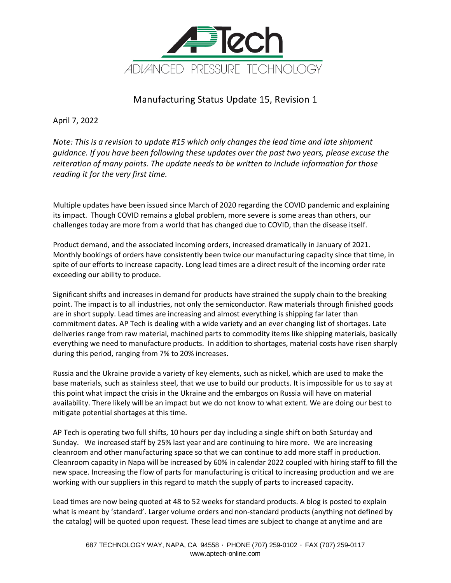

Manufacturing Status Update 15, Revision 1

April 7, 2022

*Note: This is a revision to update #15 which only changes the lead time and late shipment guidance. If you have been following these updates over the past two years, please excuse the reiteration of many points. The update needs to be written to include information for those reading it for the very first time.* 

Multiple updates have been issued since March of 2020 regarding the COVID pandemic and explaining its impact. Though COVID remains a global problem, more severe is some areas than others, our challenges today are more from a world that has changed due to COVID, than the disease itself.

Product demand, and the associated incoming orders, increased dramatically in January of 2021. Monthly bookings of orders have consistently been twice our manufacturing capacity since that time, in spite of our efforts to increase capacity. Long lead times are a direct result of the incoming order rate exceeding our ability to produce.

Significant shifts and increases in demand for products have strained the supply chain to the breaking point. The impact is to all industries, not only the semiconductor. Raw materials through finished goods are in short supply. Lead times are increasing and almost everything is shipping far later than commitment dates. AP Tech is dealing with a wide variety and an ever changing list of shortages. Late deliveries range from raw material, machined parts to commodity items like shipping materials, basically everything we need to manufacture products. In addition to shortages, material costs have risen sharply during this period, ranging from 7% to 20% increases.

Russia and the Ukraine provide a variety of key elements, such as nickel, which are used to make the base materials, such as stainless steel, that we use to build our products. It is impossible for us to say at this point what impact the crisis in the Ukraine and the embargos on Russia will have on material availability. There likely will be an impact but we do not know to what extent. We are doing our best to mitigate potential shortages at this time.

AP Tech is operating two full shifts, 10 hours per day including a single shift on both Saturday and Sunday. We increased staff by 25% last year and are continuing to hire more. We are increasing cleanroom and other manufacturing space so that we can continue to add more staff in production. Cleanroom capacity in Napa will be increased by 60% in calendar 2022 coupled with hiring staff to fill the new space. Increasing the flow of parts for manufacturing is critical to increasing production and we are working with our suppliers in this regard to match the supply of parts to increased capacity.

Lead times are now being quoted at 48 to 52 weeks for standard products. A blog is posted to explain what is meant by 'standard'. Larger volume orders and non-standard products (anything not defined by the catalog) will be quoted upon request. These lead times are subject to change at anytime and are